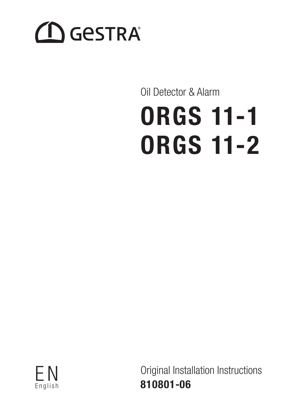# **ID GESTRA**

# Oil Detector & Alarm **ORGS 11-1 ORGS 11-2**



Original Installation Instructions 810801-06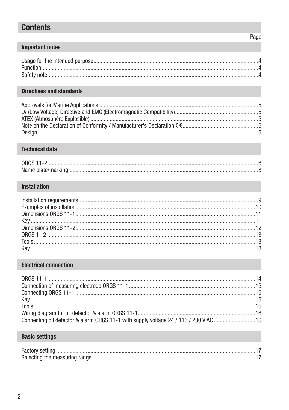# **Contents**

# **Important notes**

# **Directives and standards**

# **Technical data**

| ORGS 11-2 |  |
|-----------|--|
|           |  |

# Installation

# **Electrical connection**

| Connecting oil detector & alarm ORGS 11-1 with supply voltage 24 / 115 / 230 V AC 16 |  |
|--------------------------------------------------------------------------------------|--|

# **Basic settings**

# Page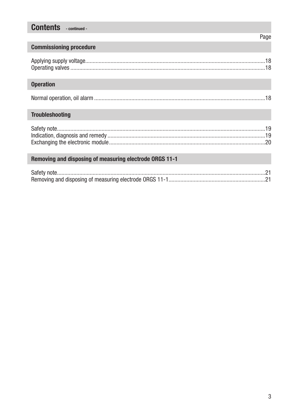# **Contents** - continued -

# Page

# **Commissioning procedure**

# **Operation**

|--|--|--|

# **Troubleshooting**

# Removing and disposing of measuring electrode ORGS 11-1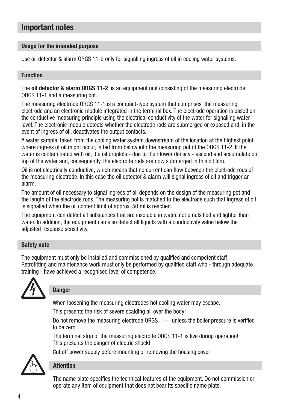# Important notes

#### Usage for the intended purpose

Use oil detector & alarm ORGS 11-2 only for signalling ingress of oil in cooling water systems.

#### Function

The oil detector & alarm ORGS 11-2 is an equipment unit consisting of the measuring electrode ORGS 11-1 and a measuring pot.

The measuring electrode ORGS 11-1 is a compact-type system that comprises the measuring electrode and an electronic module integrated in the terminal box. The electrode operation is based on the conductive measuring principle using the electrical conductivity of the water for signalling water level. The electronic module detects whether the electrode rods are submerged or exposed and, in the event of ingress of oil, deactivates the output contacts.

A water sample, taken from the cooling water system downstream of the location at the highest point where ingress of oil might occur, is fed from below into the measuring pot of the ORGS 11-2. If the water is contaminated with oil, the oil droplets - due to their lower density - ascend and accumulate on top of the water and, consequently, the electrode rods are now submerged in this oil film.

Oil is not electrically conductive, which means that no current can flow between the electrode rods of the measuring electrode. In this case the oil detector & alarm will signal ingress of oil and trigger an alarm.

The amount of oil necessary to signal ingress of oil depends on the design of the measuring pot and the length of the electrode rods. The measuring pot is matched to the electrode such that ingress of oil is signalled when the oil content limit of approx. 50 ml is reached.

The equipment can detect all substances that are insoluble in water, not emulsified and lighter than water. In addition, the equipment can also detect all liquids with a conductivity value below the adjusted response sensitivity.

#### Safety note

The equipment must only be installed and commissioned by qualified and competent staff. Retrofitting and maintenance work must only be performed by qualified staff who - through adequate training - have achieved a recognised level of competence.



# **Danger**

When loosening the measuring electrodes hot cooling water may escape.

Cut off power supply before mounting or removing the housing cover!

This presents the risk of severe scalding all over the body!

Do not remove the measuring electrode ORGS 11-1 unless the boiler pressure is verified to be zero.

The terminal strip of the measuring electrode ORGS 11-1 is live during operation! This presents the danger of electric shock!



# **Attention**

The name plate specifies the technical features of the equipment. Do not commission or operate any item of equipment that does not bear its specific name plate.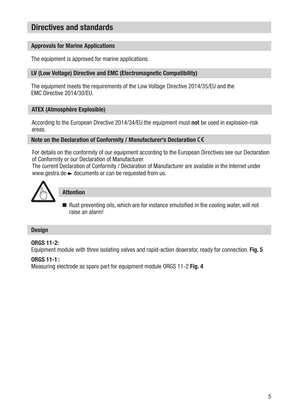# Directives and standards

#### Approvals for Marine Applications

The equipment is approved for marine applications.

# LV (Low Voltage) Directive and EMC (Electromagnetic Compatibility)

The equipment meets the requirements of the Low Voltage Directive 2014/35/EU and the EMC Directive 2014/30/EU.

# ATEX (Atmosphère Explosible)

According to the European Directive 2014/34/EU the equipment must not be used in explosion-risk areas.

#### Note on the Declaration of Conformity / Manufacturer's Declaration CE

For details on the conformity of our equipment according to the European Directives see our Declaration of Conformity or our Declaration of Manufacturer.

The current Declaration of Conformity / Declaration of Manufacturer are available in the Internet under www.gestra.de  $\rightarrow$  documents or can be requested from us.



# Attention

 $\blacksquare$  Rust preventing oils, which are for instance emulsified in the cooling water, will not raise an alarm!

#### **Design**

# **ORGS 11-2:**

Equipment module with three isolating valves and rapid-action deaerator, ready for connection. Fig. 5

# $ORGS 11-1:$

Measuring electrode as spare part for equipment module ORGS 11-2 Fig. 4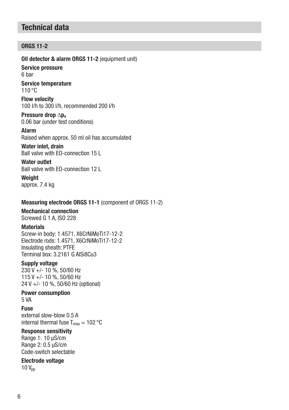# Technical data

# **ORGS 11-2**

Oil detector & alarm ORGS 11-2 (equipment unit)

Service pressure 6 bar

Service temperature 110 °C

Flow velocity 100 l/h to 300 l/h, recommended 200 l/h

Pressure drop ∆p<sub>v</sub> 0.06 bar (under test conditions)

Alarm Raised when approx. 50 ml oil has accumulated

Water inlet, drain Ball valve with EO-connection 15 L

Water outlet Ball valve with EO-connection 12 L

Weight approx. 7.4 kg

# Measuring electrode ORGS 11-1 (component of ORGS 11-2)

# Mechanical connection

Screwed G 1 A, ISO 228

# **Materials**

Screw-in body: 1.4571, X6CrNiMoTi17-12-2 Electrode rods: 1.4571, X6CrNiMoTi17-12-2 Insulating sheath: PTFE Terminal box: 3.2161 G AlSi8Cu3

# Supply voltage

230 V +/- 10 %, 50/60 Hz 115 V +/- 10 %, 50/60 Hz 24 V +/- 10 %, 50/60 Hz (optional)

# Power consumption

5 VA

Fuse

external slow-blow 0.5 A internal thermal fuse  $T_{\text{max}} = 102 \text{ °C}$ 

# Response sensitivity

Range 1: 10 µS/cm Range 2: 0.5 μS/cm Code-switch selectable

# Electrode voltage

 $10 V_{nn}$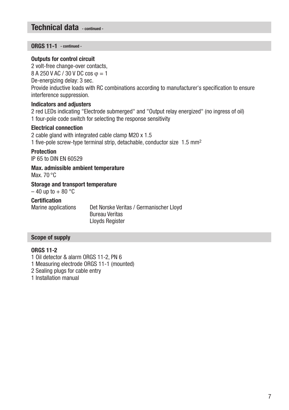# Technical data - continued -

ORGS 11-1 - continued -

#### Outputs for control circuit

2 volt-free change-over contacts,  $8$  A 250 V AC / 30 V DC cos  $\omega = 1$ De-energizing delay: 3 sec. Provide inductive loads with RC combinations according to manufacturer's specification to ensure interference suppression.

#### Indicators and adjusters

2 red LEDs indicating "Electrode submerged" and "Output relay energized" (no ingress of oil) 1 four-pole code switch for selecting the response sensitivity

#### Electrical connection

2 cable gland with integrated cable clamp M20 x 1.5 1 five-pole screw-type terminal strip, detachable, conductor size 1.5 mm2

# **Protection**

IP 65 to DIN EN 60529

Max. admissible ambient temperature

Max. 70 °C

#### Storage and transport temperature

 $-40$  up to  $+80$  °C

# Certification

Marine applications Det Norske Veritas / Germanischer Lloyd Bureau Veritas Lloyds Register

# Scope of supply

#### **ORGS 11-2**

1 Oil detector & alarm ORGS 11-2, PN 6

1 Measuring electrode ORGS 11-1 (mounted)

- 2 Sealing plugs for cable entry
- 1 Installation manual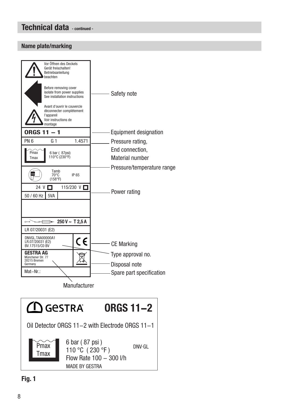# Technical data - continued -

# Name plate/marking



**Manufacturer** 

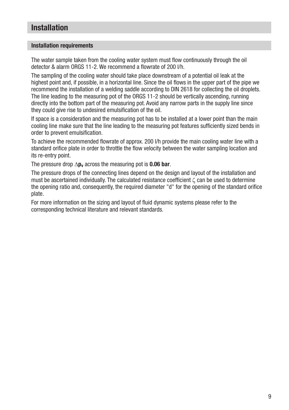# Installation

#### Installation requirements

The water sample taken from the cooling water system must flow continuously through the oil detector & alarm ORGS 11-2. We recommend a flowrate of 200 l/h.

The sampling of the cooling water should take place downstream of a potential oil leak at the highest point and, if possible, in a horizontal line. Since the oil flows in the upper part of the pipe we recommend the installation of a welding saddle according to DIN 2618 for collecting the oil droplets. The line leading to the measuring pot of the ORGS 11-2 should be vertically ascending, running directly into the bottom part of the measuring pot. Avoid any narrow parts in the supply line since they could give rise to undesired emulsification of the oil.

If space is a consideration and the measuring pot has to be installed at a lower point than the main cooling line make sure that the line leading to the measuring pot features sufficiently sized bends in order to prevent emulsification.

To achieve the recommended flowrate of approx. 200 l/h provide the main cooling water line with a standard orifice plate in order to throttle the flow velocity between the water sampling location and its re-entry point.

The pressure drop  $\Delta p_v$  across the measuring pot is 0.06 bar.

The pressure drops of the connecting lines depend on the design and layout of the installation and must be ascertained individually. The calculated resistance coefficient ζ can be used to determine the opening ratio and, consequently, the required diameter "d" for the opening of the standard orifice plate.

For more information on the sizing and layout of fluid dynamic systems please refer to the corresponding technical literature and relevant standards.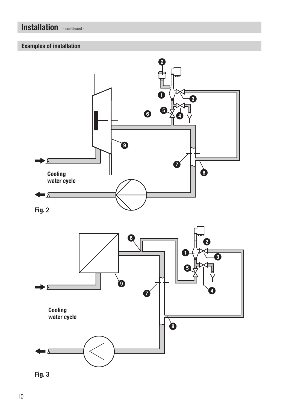# Installation - continued -

# Examples of installation



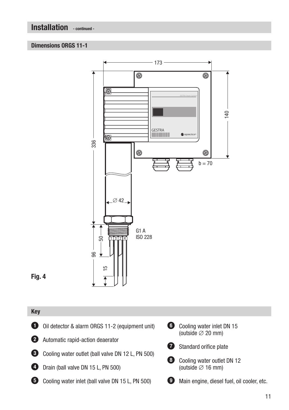Installation - continued -

# Dimensions ORGS 11-1



# Fig. 4

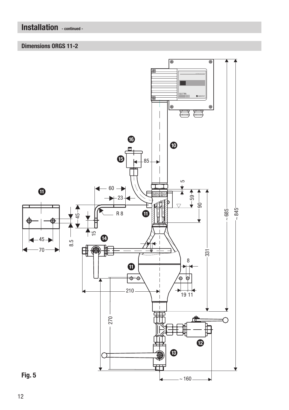# Installation - continued -

# Dimensions ORGS 11-2

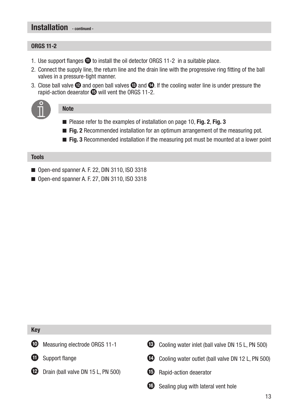# Installation continued -

# **ORGS 11-2**

- 1. Use support flanges  $\Phi$  to install the oil detector ORGS 11-2 in a suitable place.
- 2. Connect the supply line, the return line and the drain line with the progressive ring fitting of the ball valves in a pressure-tight manner.
- 3. Close ball valve  $\Phi$  and open ball valves  $\Phi$  and  $\Phi$ . If the cooling water line is under pressure the rapid-action deaerator  $\bullet$  will vent the ORGS 11-2.



# **Note**

- Please refer to the examples of installation on page 10, Fig. 2, Fig. 3
- $\blacksquare$  Fig. 2 Recommended installation for an optimum arrangement of the measuring pot.
- $\blacksquare$  Fig. 3 Recommended installation if the measuring pot must be mounted at a lower point

#### Tools

- Open-end spanner A, F, 22, DIN 3110, ISO 3318
- $\Box$  Open-end spanner A. F. 27, DIN 3110, ISO 3318

#### Key





- **12** Drain (ball valve DN 15 L, PN 500)
- **63** Cooling water inlet (ball valve DN 15 L, PN 500)



- **E** Rapid-action deaerator
- G Sealing plug with lateral vent hole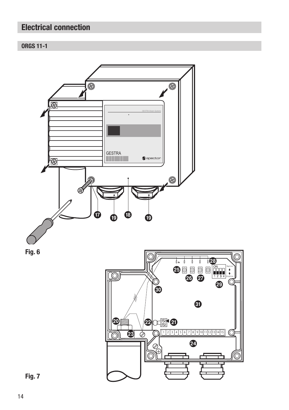# Electrical connection

# **ORGS 11-1**



Fig. 6



Fig. 7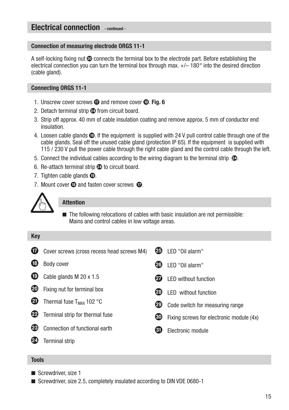# Electrical connection - continued -

#### Connection of measuring electrode ORGS 11-1

A self-locking fixing nut  $\odot$  connects the terminal box to the electrode part. Before establishing the electrical connection you can turn the terminal box through max.  $+/-180^\circ$  into the desired direction (cable gland).

#### Connecting ORGS 11-1

- 1. Unscrew cover screws  $\Phi$  and remove cover  $\Phi$ . Fig. 6
- 2. Detach terminal strip  $\omega$  from circuit board.
- 3. Strip off approx. 40 mm of cable insulation coating and remove approx. 5 mm of conductor end insulation.
- 4. Loosen cable glands  $\bullet$ . If the equipment is supplied with 24 V pull control cable through one of the cable glands. Seal off the unused cable gland (protection IP 65). If the equipment is supplied with 115 / 230 V pull the power cable through the right cable gland and the control cable through the left.
- 5. Connect the individual cables according to the wiring diagram to the terminal strip  $\mathcal{D}_1$ .
- 6. Re-attach terminal strip  $\omega$  to circuit board.
- 7. Tighten cable glands  $\mathbf{\circledcirc}$ .
- 7. Mount cover  $\mathbf \Omega$  and fasten cover screws  $\mathbf \Omega$ .



#### **Attention**

 $\blacksquare$  The following relocations of cables with basic insulation are not permissible: Mains and control cables in low voltage areas.

| <b>Key</b> |                                            |    |                                          |
|------------|--------------------------------------------|----|------------------------------------------|
| Ø          | Cover screws (cross recess head screws M4) | ØЭ | LED "Oil alarm"                          |
| (18        | Body cover                                 | 26 | LED "Oil alarm"                          |
| ®          | Cable glands M 20 x 1.5                    | 27 | <b>LED without function</b>              |
| 20         | Fixing nut for terminal box                | 28 | <b>LED</b> without function              |
| Ø          | Thermal fuse $T_{MAX}$ 102 °C              | ☎  | Code switch for measuring range          |
| 22         | Terminal strip for thermal fuse            | ளு | Fixing screws for electronic module (4x) |
| 28         | Connection of functional earth             | 61 | Electronic module                        |
|            | <b>Terminal strip</b>                      |    |                                          |

#### Tools

- $\blacksquare$  Screwdriver, size 1
- Screwdriver, size 2.5, completely insulated according to DIN VDE 0680-1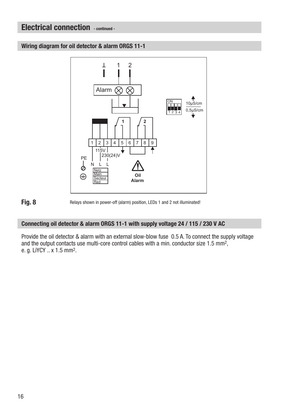# Electrical connection - continued -

Wiring diagram for oil detector & alarm ORGS 11-1



Fig. 8 Relays shown in power-off (alarm) position, LEDs 1 and 2 not illuminated!

# Connecting oil detector & alarm ORGS 11-1 with supply voltage 24 / 115 / 230 V AC

Provide the oil detector & alarm with an external slow-blow fuse 0.5 A. To connect the supply voltage and the output contacts use multi-core control cables with a min. conductor size 1.5 mm2, e. g. LiYCY .. x 1.5 mm2.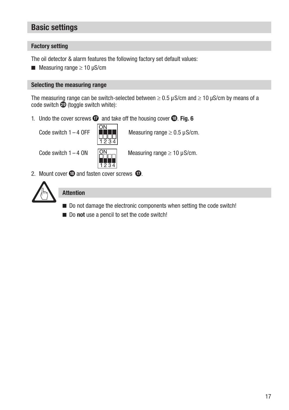# Basic settings

# Factory setting

The oil detector & alarm features the following factory set default values:

■ Measuring range  $≥ 10$  uS/cm

#### Selecting the measuring range

The measuring range can be switch-selected between  $\geq 0.5$  µS/cm and  $\geq 10$  µS/cm by means of a  $code$  switch  $\circledR$  (toggle switch white):

1. Undo the cover screws  $\bf{C}$  and take off the housing cover  $\bf{C}$ . Fig. 6

**ON** 

1234

Code switch 1 – 4 OFF  $\|\mathbf{m}\|$  Measuring range  $\geq 0.5$  µS/cm.



Code switch  $1 - 4$  ON  $\boxed{ON}$  Measuring range  $\geq 10 \mu$ S/cm.

2. Mount cover  $\bullet$  and fasten cover screws  $\bullet$ .



# Attention

- $\blacksquare$  Do not damage the electronic components when setting the code switch!
- $\blacksquare$  Do not use a pencil to set the code switch!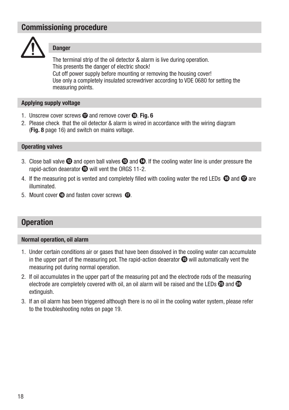# Commissioning procedure



# **Danger**

The terminal strip of the oil detector & alarm is live during operation. This presents the danger of electric shock! Cut off power supply before mounting or removing the housing cover! Use only a completely insulated screwdriver according to VDE 0680 for setting the measuring points.

# Applying supply voltage

- 1. Unscrew cover screws  $\omega$  and remove cover  $\omega$ . Fig. 6
- 2. Please check that the oil detector & alarm is wired in accordance with the wiring diagram (Fig. 8 page 16) and switch on mains voltage.

# Operating valves

- 3. Close ball valve  $\Omega$  and open ball valves  $\Omega$  and  $\Omega$ . If the cooling water line is under pressure the rapid-action deaerator  $\bullet$  will vent the ORGS 11-2.
- 4. If the measuring pot is vented and completely filled with cooling water the red LEDs  $\bigcirc$  and  $\bigcirc$  are illuminated.
- 5. Mount cover  $\boldsymbol{\circ}$  and fasten cover screws  $\boldsymbol{\circ}$ .

# **Operation**

#### Normal operation, oil alarm

- 1. Under certain conditions air or gases that have been dissolved in the cooling water can accumulate in the upper part of the measuring pot. The rapid-action deaerator  $\mathbf \mathbf \Theta$  will automatically vent the measuring pot during normal operation.
- 2. If oil accumulates in the upper part of the measuring pot and the electrode rods of the measuring electrode are completely covered with oil, an oil alarm will be raised and the LEDs  $\circledR$  and  $\circledR$ extinguish.
- 3. If an oil alarm has been triggered although there is no oil in the cooling water system, please refer to the troubleshooting notes on page 19.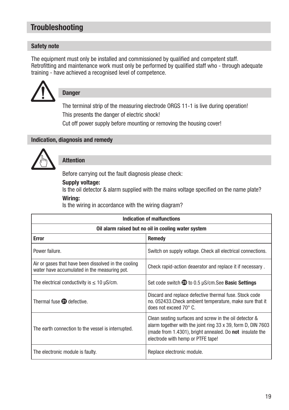# **Troubleshooting**

# Safety note

The equipment must only be installed and commissioned by qualified and competent staff. Retrofitting and maintenance work must only be performed by qualified staff who - through adequate training - have achieved a recognised level of competence.



# Danger

The terminal strip of the measuring electrode ORGS 11-1 is live during operation! This presents the danger of electric shock!

Cut off power supply before mounting or removing the housing cover!

#### Indication, diagnosis and remedy



# Attention

Before carrying out the fault diagnosis please check:

Supply voltage:

Is the oil detector & alarm supplied with the mains voltage specified on the name plate?

# Wiring:

Is the wiring in accordance with the wiring diagram?

| Indication of malfunctions                                                                           |                                                                                                                                                                                                                                |  |  |
|------------------------------------------------------------------------------------------------------|--------------------------------------------------------------------------------------------------------------------------------------------------------------------------------------------------------------------------------|--|--|
| Oil alarm raised but no oil in cooling water system                                                  |                                                                                                                                                                                                                                |  |  |
| <b>Error</b>                                                                                         | Remedy                                                                                                                                                                                                                         |  |  |
| Power failure.                                                                                       | Switch on supply voltage. Check all electrical connections.                                                                                                                                                                    |  |  |
| Air or gases that have been dissolved in the cooling<br>water have accumulated in the measuring pot. | Check rapid-action deaerator and replace it if necessary.                                                                                                                                                                      |  |  |
| The electrical conductivity is $\leq 10$ µS/cm.                                                      | Set code switch <sup>29</sup> to 0.5 µS/cm.See <b>Basic Settings</b>                                                                                                                                                           |  |  |
| Thermal fuse 20 defective.                                                                           | Discard and replace defective thermal fuse. Stock code<br>no. 052433. Check ambient temperature, make sure that it<br>does not exceed $70^{\circ}$ C.                                                                          |  |  |
| The earth connection to the vessel is interrupted.                                                   | Clean seating surfaces and screw in the oil detector &<br>alarm together with the joint ring 33 x 39, form D, DIN 7603<br>(made from 1.4301), bright annealed. Do <b>not</b> insulate the<br>electrode with hemp or PTFE tape! |  |  |
| The electronic module is faulty.                                                                     | Replace electronic module.                                                                                                                                                                                                     |  |  |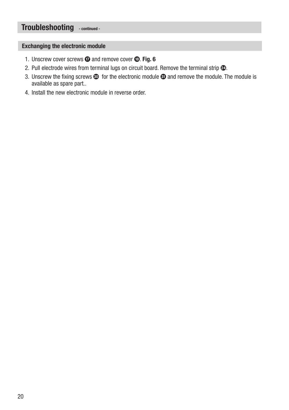# Troubleshooting - continued -

#### Exchanging the electronic module

- 1. Unscrew cover screws  $\odot$  and remove cover  $\odot$ . Fig. 6
- 2. Pull electrode wires from terminal lugs on circuit board. Remove the terminal strip  $\mathcal{Q}$ .
- 3. Unscrew the fixing screws  $\circledA$  for the electronic module  $\circledA$  and remove the module. The module is available as spare part..
- 4. Install the new electronic module in reverse order.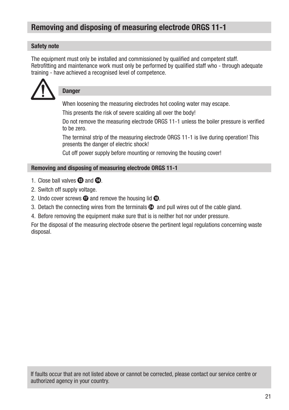# Removing and disposing of measuring electrode ORGS 11-1

# Safety note

The equipment must only be installed and commissioned by qualified and competent staff. Retrofitting and maintenance work must only be performed by qualified staff who - through adequate training - have achieved a recognised level of competence.



# **Danger**

When loosening the measuring electrodes hot cooling water may escape.

This presents the risk of severe scalding all over the body!

Do not remove the measuring electrode ORGS 11-1 unless the boiler pressure is verified to be zero.

The terminal strip of the measuring electrode ORGS 11-1 is live during operation! This presents the danger of electric shock!

Cut off power supply before mounting or removing the housing cover!

# Removing and disposing of measuring electrode ORGS 11-1

- 1. Close ball valves  $\mathbf{\Theta}$  and  $\mathbf{\Phi}$ .
- 2. Switch off supply voltage.
- 2. Undo cover screws  $\Phi$  and remove the housing lid  $\Phi$ .
- 3. Detach the connecting wires from the terminals  $\omega$  and pull wires out of the cable gland.
- 4. Before removing the equipment make sure that is is neither hot nor under pressure.

For the disposal of the measuring electrode observe the pertinent legal regulations concerning waste disposal.

If faults occur that are not listed above or cannot be corrected, please contact our service centre or authorized agency in your country.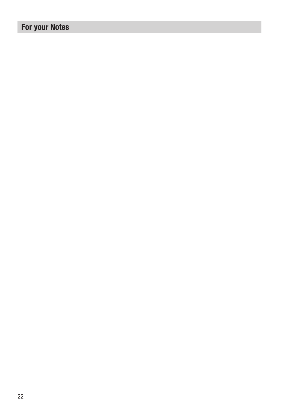# For your Notes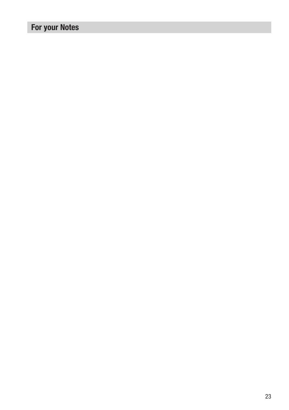# For your Notes